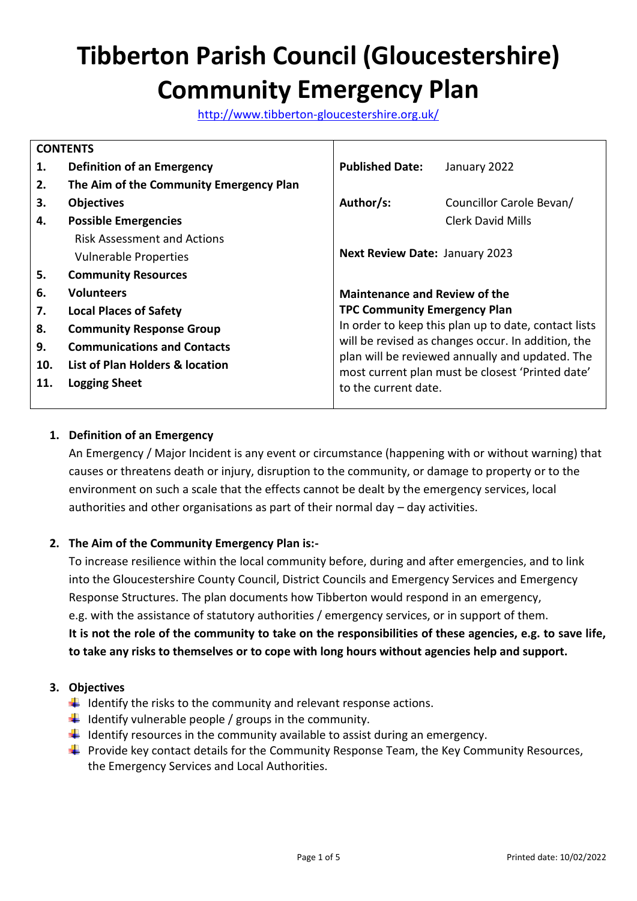# **Tibberton Parish Council (Gloucestershire) Community Emergency Plan**

<http://www.tibberton-gloucestershire.org.uk/>

|     | <b>CONTENTS</b>                         |                                                                                                                                                           |                                                      |  |  |
|-----|-----------------------------------------|-----------------------------------------------------------------------------------------------------------------------------------------------------------|------------------------------------------------------|--|--|
| 1.  | <b>Definition of an Emergency</b>       | <b>Published Date:</b>                                                                                                                                    | January 2022                                         |  |  |
| 2.  | The Aim of the Community Emergency Plan |                                                                                                                                                           |                                                      |  |  |
| З.  | <b>Objectives</b>                       | Author/s:                                                                                                                                                 | Councillor Carole Bevan/                             |  |  |
| 4.  | <b>Possible Emergencies</b>             |                                                                                                                                                           | <b>Clerk David Mills</b>                             |  |  |
|     | <b>Risk Assessment and Actions</b>      |                                                                                                                                                           |                                                      |  |  |
|     | <b>Vulnerable Properties</b>            | <b>Next Review Date: January 2023</b>                                                                                                                     |                                                      |  |  |
| 5.  | <b>Community Resources</b>              |                                                                                                                                                           |                                                      |  |  |
| 6.  | <b>Volunteers</b>                       | <b>Maintenance and Review of the</b>                                                                                                                      |                                                      |  |  |
| 7.  | <b>Local Places of Safety</b>           | <b>TPC Community Emergency Plan</b>                                                                                                                       |                                                      |  |  |
| 8.  | <b>Community Response Group</b>         |                                                                                                                                                           | In order to keep this plan up to date, contact lists |  |  |
| 9.  | <b>Communications and Contacts</b>      | will be revised as changes occur. In addition, the<br>plan will be reviewed annually and updated. The<br>most current plan must be closest 'Printed date' |                                                      |  |  |
| 10. | List of Plan Holders & location         |                                                                                                                                                           |                                                      |  |  |
| 11. | <b>Logging Sheet</b>                    | to the current date.                                                                                                                                      |                                                      |  |  |

## **1. Definition of an Emergency**

An Emergency / Major Incident is any event or circumstance (happening with or without warning) that causes or threatens death or injury, disruption to the community, or damage to property or to the environment on such a scale that the effects cannot be dealt by the emergency services, local authorities and other organisations as part of their normal day – day activities.

#### **2. The Aim of the Community Emergency Plan is:-**

To increase resilience within the local community before, during and after emergencies, and to link into the Gloucestershire County Council, District Councils and Emergency Services and Emergency Response Structures. The plan documents how Tibberton would respond in an emergency, e.g. with the assistance of statutory authorities / emergency services, or in support of them. **It is not the role of the community to take on the responsibilities of these agencies, e.g. to save life, to take any risks to themselves or to cope with long hours without agencies help and support.**

#### **3. Objectives**

- $\downarrow$  Identify the risks to the community and relevant response actions.
- $\downarrow$  Identify vulnerable people / groups in the community.
- $\downarrow$  Identify resources in the community available to assist during an emergency.
- **Provide key contact details for the Community Response Team, the Key Community Resources,** the Emergency Services and Local Authorities.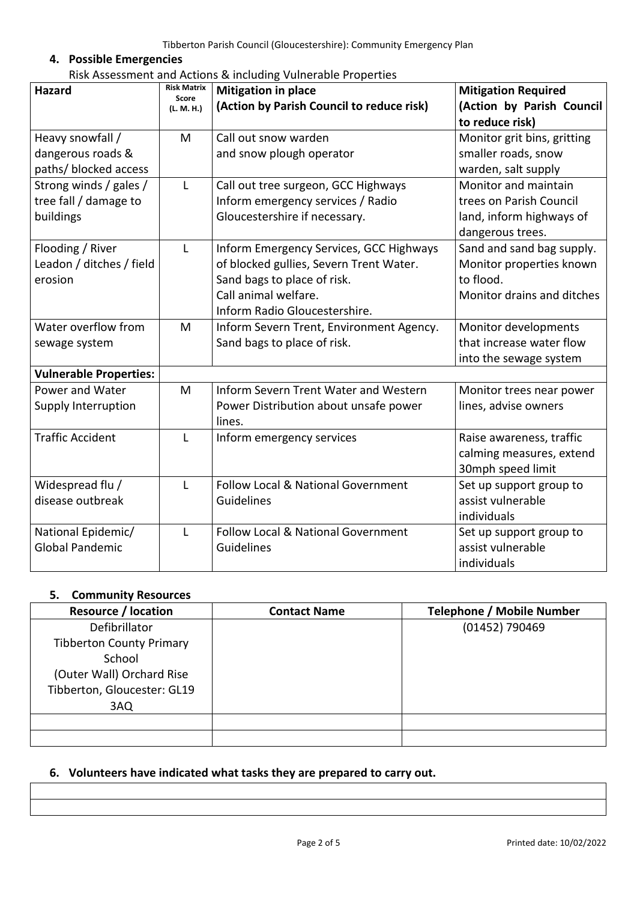## **4. Possible Emergencies**

| Risk Assessment and Actions & including Vulnerable Properties |  |
|---------------------------------------------------------------|--|
|---------------------------------------------------------------|--|

| <b>Hazard</b>                                                                         | <b>Risk Matrix</b><br>Score<br>(L. M. H.) | <b>Mitigation in place</b><br>(Action by Parish Council to reduce risk)                                                                                                    | <b>Mitigation Required</b><br>(Action by Parish Council<br>to reduce risk)                                             |
|---------------------------------------------------------------------------------------|-------------------------------------------|----------------------------------------------------------------------------------------------------------------------------------------------------------------------------|------------------------------------------------------------------------------------------------------------------------|
| Heavy snowfall /<br>dangerous roads &                                                 | M                                         | Call out snow warden<br>and snow plough operator                                                                                                                           | Monitor grit bins, gritting<br>smaller roads, snow                                                                     |
| paths/ blocked access<br>Strong winds / gales /<br>tree fall / damage to<br>buildings | L                                         | Call out tree surgeon, GCC Highways<br>Inform emergency services / Radio<br>Gloucestershire if necessary.                                                                  | warden, salt supply<br>Monitor and maintain<br>trees on Parish Council<br>land, inform highways of<br>dangerous trees. |
| Flooding / River<br>Leadon / ditches / field<br>erosion                               | L                                         | Inform Emergency Services, GCC Highways<br>of blocked gullies, Severn Trent Water.<br>Sand bags to place of risk.<br>Call animal welfare.<br>Inform Radio Gloucestershire. | Sand and sand bag supply.<br>Monitor properties known<br>to flood.<br>Monitor drains and ditches                       |
| Water overflow from<br>sewage system                                                  | M                                         | Inform Severn Trent, Environment Agency.<br>Sand bags to place of risk.                                                                                                    | Monitor developments<br>that increase water flow<br>into the sewage system                                             |
| <b>Vulnerable Properties:</b>                                                         |                                           |                                                                                                                                                                            |                                                                                                                        |
| Power and Water<br>Supply Interruption                                                | M                                         | Inform Severn Trent Water and Western<br>Power Distribution about unsafe power<br>lines.                                                                                   | Monitor trees near power<br>lines, advise owners                                                                       |
| <b>Traffic Accident</b>                                                               | L                                         | Inform emergency services                                                                                                                                                  | Raise awareness, traffic<br>calming measures, extend<br>30mph speed limit                                              |
| Widespread flu /<br>disease outbreak                                                  | L                                         | <b>Follow Local &amp; National Government</b><br>Guidelines                                                                                                                | Set up support group to<br>assist vulnerable<br>individuals                                                            |
| National Epidemic/<br><b>Global Pandemic</b>                                          | L                                         | Follow Local & National Government<br>Guidelines                                                                                                                           | Set up support group to<br>assist vulnerable<br>individuals                                                            |

## **5. Community Resources**

| <b>Resource / location</b>      | <b>Contact Name</b> | <b>Telephone / Mobile Number</b> |
|---------------------------------|---------------------|----------------------------------|
| Defibrillator                   |                     | (01452) 790469                   |
| <b>Tibberton County Primary</b> |                     |                                  |
| School                          |                     |                                  |
| (Outer Wall) Orchard Rise       |                     |                                  |
| Tibberton, Gloucester: GL19     |                     |                                  |
| 3AQ                             |                     |                                  |
|                                 |                     |                                  |
|                                 |                     |                                  |

#### **6. Volunteers have indicated what tasks they are prepared to carry out.**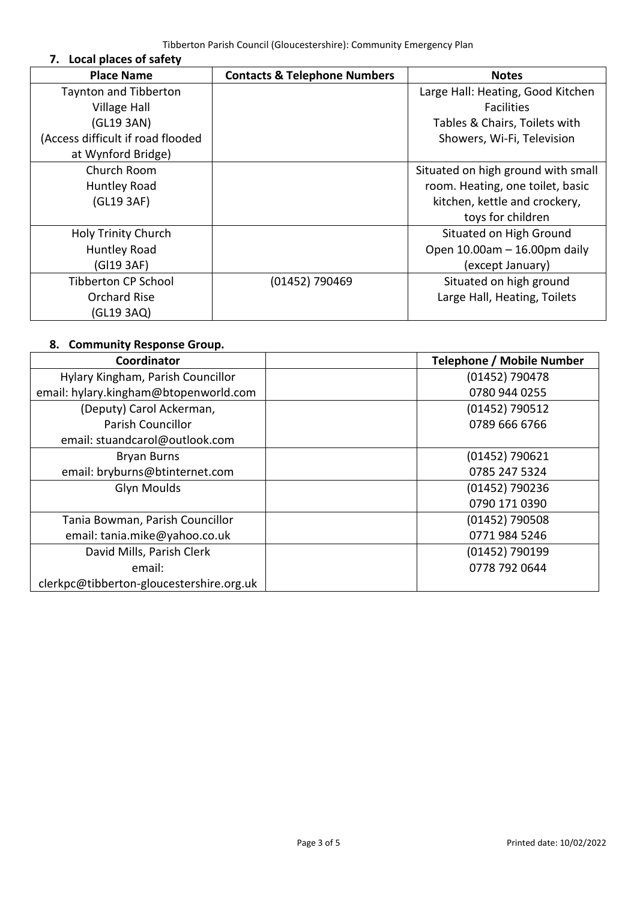**7. Local places of safety**

| <b>Place Name</b>                 | <b>Contacts &amp; Telephone Numbers</b> | <b>Notes</b>                       |
|-----------------------------------|-----------------------------------------|------------------------------------|
| <b>Taynton and Tibberton</b>      |                                         | Large Hall: Heating, Good Kitchen  |
| <b>Village Hall</b>               |                                         | <b>Facilities</b>                  |
| (GL19 3AN)                        |                                         | Tables & Chairs, Toilets with      |
| (Access difficult if road flooded |                                         | Showers, Wi-Fi, Television         |
| at Wynford Bridge)                |                                         |                                    |
| Church Room                       |                                         | Situated on high ground with small |
| <b>Huntley Road</b>               |                                         | room. Heating, one toilet, basic   |
| (GL19 3AF)                        |                                         | kitchen, kettle and crockery,      |
|                                   |                                         | toys for children                  |
| <b>Holy Trinity Church</b>        |                                         | Situated on High Ground            |
| <b>Huntley Road</b>               |                                         | Open 10.00am - 16.00pm daily       |
| (Gl19 3AF)                        |                                         | (except January)                   |
| <b>Tibberton CP School</b>        | (01452) 790469                          | Situated on high ground            |
| <b>Orchard Rise</b>               |                                         | Large Hall, Heating, Toilets       |
| (GL19 3AQ)                        |                                         |                                    |

## **8. Community Response Group.**

| Coordinator                              | <b>Telephone / Mobile Number</b> |
|------------------------------------------|----------------------------------|
| Hylary Kingham, Parish Councillor        | (01452) 790478                   |
| email: hylary.kingham@btopenworld.com    | 0780 944 0255                    |
| (Deputy) Carol Ackerman,                 | (01452) 790512                   |
| <b>Parish Councillor</b>                 | 0789 666 6766                    |
| email: stuandcarol@outlook.com           |                                  |
| <b>Bryan Burns</b>                       | $(01452)$ 790621                 |
| email: bryburns@btinternet.com           | 0785 247 5324                    |
| <b>Glyn Moulds</b>                       | (01452) 790236                   |
|                                          | 0790 171 0390                    |
| Tania Bowman, Parish Councillor          | (01452) 790508                   |
| email: tania.mike@yahoo.co.uk            | 0771 984 5246                    |
| David Mills, Parish Clerk                | (01452) 790199                   |
| email:                                   | 0778 792 0644                    |
| clerkpc@tibberton-gloucestershire.org.uk |                                  |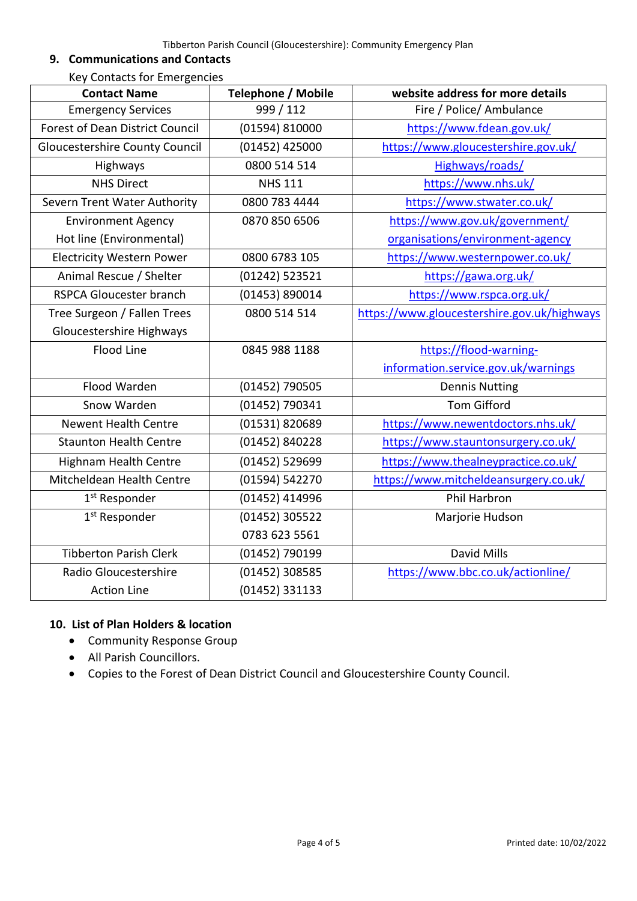#### **9. Communications and Contacts**

Key Contacts for Emergencies

| <b>Contact Name</b>                    | <b>Telephone / Mobile</b> | website address for more details            |
|----------------------------------------|---------------------------|---------------------------------------------|
| <b>Emergency Services</b>              | 999 / 112                 | Fire / Police/ Ambulance                    |
| <b>Forest of Dean District Council</b> | (01594) 810000            | https://www.fdean.gov.uk/                   |
| <b>Gloucestershire County Council</b>  | (01452) 425000            | https://www.gloucestershire.gov.uk/         |
| Highways                               | 0800 514 514              | Highways/roads/                             |
| <b>NHS Direct</b>                      | <b>NHS 111</b>            | https://www.nhs.uk/                         |
| Severn Trent Water Authority           | 0800 783 4444             | https://www.stwater.co.uk/                  |
| <b>Environment Agency</b>              | 0870 850 6506             | https://www.gov.uk/government/              |
| Hot line (Environmental)               |                           | organisations/environment-agency            |
| <b>Electricity Western Power</b>       | 0800 6783 105             | https://www.westernpower.co.uk/             |
| Animal Rescue / Shelter                | (01242) 523521            | https://gawa.org.uk/                        |
| <b>RSPCA Gloucester branch</b>         | (01453) 890014            | https://www.rspca.org.uk/                   |
| Tree Surgeon / Fallen Trees            | 0800 514 514              | https://www.gloucestershire.gov.uk/highways |
| Gloucestershire Highways               |                           |                                             |
| <b>Flood Line</b>                      | 0845 988 1188             | https://flood-warning-                      |
|                                        |                           | information.service.gov.uk/warnings         |
| Flood Warden                           | (01452) 790505            | <b>Dennis Nutting</b>                       |
| Snow Warden                            | (01452) 790341            | <b>Tom Gifford</b>                          |
| <b>Newent Health Centre</b>            | (01531) 820689            | https://www.newentdoctors.nhs.uk/           |
| <b>Staunton Health Centre</b>          | (01452) 840228            | https://www.stauntonsurgery.co.uk/          |
| <b>Highnam Health Centre</b>           | (01452) 529699            | https://www.thealneypractice.co.uk/         |
| Mitcheldean Health Centre              | (01594) 542270            | https://www.mitcheldeansurgery.co.uk/       |
| 1 <sup>st</sup> Responder              | (01452) 414996            | Phil Harbron                                |
| 1 <sup>st</sup> Responder              | (01452) 305522            | Marjorie Hudson                             |
|                                        | 0783 623 5561             |                                             |
| <b>Tibberton Parish Clerk</b>          | (01452) 790199            | <b>David Mills</b>                          |
| Radio Gloucestershire                  | (01452) 308585            | https://www.bbc.co.uk/actionline/           |
| <b>Action Line</b>                     | (01452) 331133            |                                             |

## **10. List of Plan Holders & location**

- Community Response Group
- All Parish Councillors.
- Copies to the Forest of Dean District Council and Gloucestershire County Council.